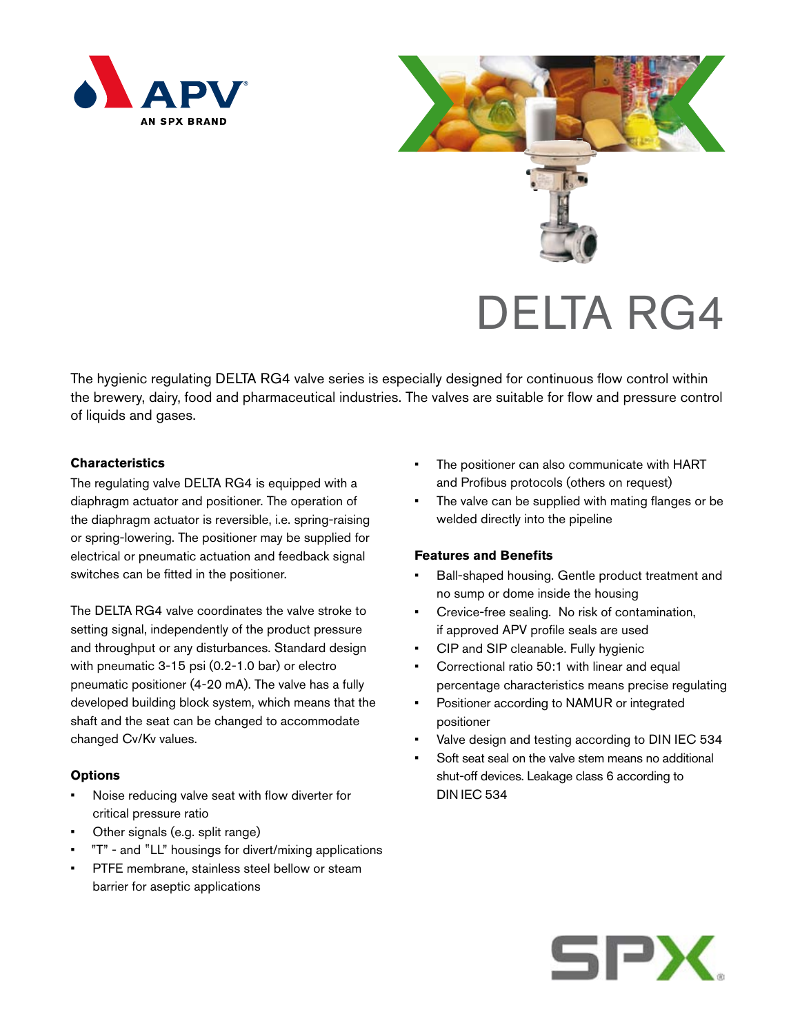



The hygienic regulating DELTA RG4 valve series is especially designed for continuous flow control within the brewery, dairy, food and pharmaceutical industries. The valves are suitable for flow and pressure control of liquids and gases.

# **Characteristics**

The regulating valve DELTA RG4 is equipped with a diaphragm actuator and positioner. The operation of the diaphragm actuator is reversible, i.e. spring-raising or spring-lowering. The positioner may be supplied for electrical or pneumatic actuation and feedback signal switches can be fitted in the positioner.

The DELTA RG4 valve coordinates the valve stroke to setting signal, independently of the product pressure and throughput or any disturbances. Standard design with pneumatic 3-15 psi (0.2-1.0 bar) or electro pneumatic positioner (4-20 mA). The valve has a fully developed building block system, which means that the shaft and the seat can be changed to accommodate changed Cv/Kv values.

#### **Options**

- Noise reducing valve seat with flow diverter for critical pressure ratio
- Other signals (e.g. split range)
- • T" and "LL" housings for divert/mixing applications "
- PTFE membrane, stainless steel bellow or steam barrier for aseptic applications
- The positioner can also communicate with HART and Profibus protocols (others on request)
- The valve can be supplied with mating flanges or be welded directly into the pipeline

# **Features and Benefits**

- Ball-shaped housing. Gentle product treatment and no sump or dome inside the housing
- Crevice-free sealing. No risk of contamination, if approved APV profile seals are used
- CIP and SIP cleanable. Fully hygienic
- Correctional ratio 50:1 with linear and equal percentage characteristics means precise regulating
- Positioner according to NAMUR or integrated positioner
- Valve design and testing according to DIN IEC 534
- Soft seat seal on the valve stem means no additional shut-off devices. Leakage class 6 according to DIN IEC 534